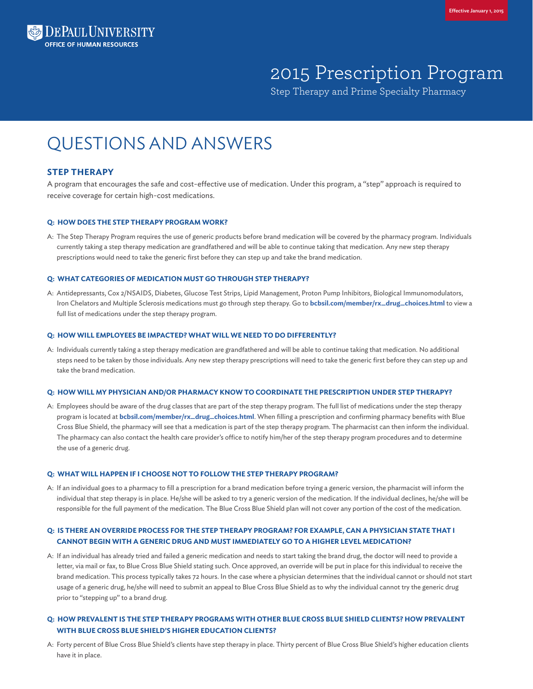

# 2015 Prescription Program

Step Therapy and Prime Specialty Pharmacy

## QUESTIONS AND ANSWERS

## **STEP THERAPY**

A program that encourages the safe and cost-effective use of medication. Under this program, a "step" approach is required to receive coverage for certain high-cost medications.

## **Q: HOW DOES THE STEP THERAPY PROGRAM WORK?**

A: The Step Therapy Program requires the use of generic products before brand medication will be covered by the pharmacy program. Individuals currently taking a step therapy medication are grandfathered and will be able to continue taking that medication. Any new step therapy prescriptions would need to take the generic first before they can step up and take the brand medication.

## **Q: WHAT CATEGORIES OF MEDICATION MUST GO THROUGH STEP THERAPY?**

A: Antidepressants, Cox 2/NSAIDS, Diabetes, Glucose Test Strips, Lipid Management, Proton Pump Inhibitors, Biological Immunomodulators, Iron Chelators and Multiple Sclerosis medications must go through step therapy. Go to **[bcbsil.com/member/rx\\_drug\\_choices.html](http://www.bcbsil.com/member/rx_drug_choices)** to view a full list of medications under the step therapy program.

## **Q: HOW WILL EMPLOYEES BE IMPACTED? WHAT WILL WE NEED TO DO DIFFERENTLY?**

A: Individuals currently taking a step therapy medication are grandfathered and will be able to continue taking that medication. No additional steps need to be taken by those individuals. Any new step therapy prescriptions will need to take the generic first before they can step up and take the brand medication.

#### **Q: HOW WILL MY PHYSICIAN AND/OR PHARMACY KNOW TO COORDINATE THE PRESCRIPTION UNDER STEP THERAPY?**

A: Employees should be aware of the drug classes that are part of the step therapy program. The full list of medications under the step therapy program is located at **[bcbsil.com/member/rx\\_drug\\_choices.html](http://www.bcbsil.com/member/rx_drug_choices)**. When filling a prescription and confirming pharmacy benefits with Blue Cross Blue Shield, the pharmacy will see that a medication is part of the step therapy program. The pharmacist can then inform the individual. The pharmacy can also contact the health care provider's office to notify him/her of the step therapy program procedures and to determine the use of a generic drug.

#### **Q: WHAT WILL HAPPEN IF I CHOOSE NOT TO FOLLOW THE STEP THERAPY PROGRAM?**

A: If an individual goes to a pharmacy to fill a prescription for a brand medication before trying a generic version, the pharmacist will inform the individual that step therapy is in place. He/she will be asked to try a generic version of the medication. If the individual declines, he/she will be responsible for the full payment of the medication. The Blue Cross Blue Shield plan will not cover any portion of the cost of the medication.

## **Q: IS THERE AN OVERRIDE PROCESS FOR THE STEP THERAPY PROGRAM? FOR EXAMPLE, CAN A PHYSICIAN STATE THAT I CANNOT BEGIN WITH A GENERIC DRUG AND MUST IMMEDIATELY GO TO A HIGHER LEVEL MEDICATION?**

A: If an individual has already tried and failed a generic medication and needs to start taking the brand drug, the doctor will need to provide a letter, via mail or fax, to Blue Cross Blue Shield stating such. Once approved, an override will be put in place for this individual to receive the brand medication. This process typically takes 72 hours. In the case where a physician determines that the individual cannot or should not start usage of a generic drug, he/she will need to submit an appeal to Blue Cross Blue Shield as to why the individual cannot try the generic drug prior to "stepping up" to a brand drug.

## **Q: HOW PREVALENT IS THE STEP THERAPY PROGRAMS WITH OTHER BLUE CROSS BLUE SHIELD CLIENTS? HOW PREVALENT WITH BLUE CROSS BLUE SHIELD'S HIGHER EDUCATION CLIENTS?**

A: Forty percent of Blue Cross Blue Shield's clients have step therapy in place. Thirty percent of Blue Cross Blue Shield's higher education clients have it in place.